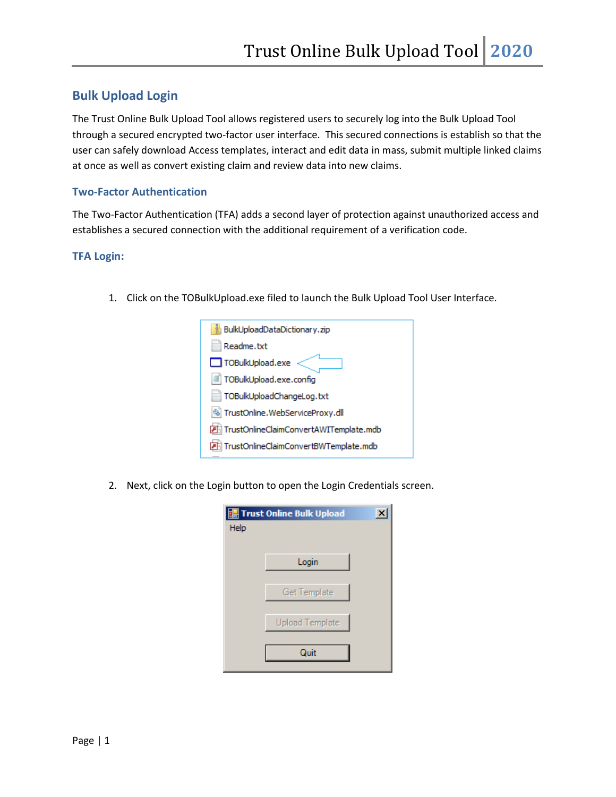## **Bulk Upload Login**

The Trust Online Bulk Upload Tool allows registered users to securely log into the Bulk Upload Tool through a secured encrypted two-factor user interface. This secured connections is establish so that the user can safely download Access templates, interact and edit data in mass, submit multiple linked claims at once as well as convert existing claim and review data into new claims.

## **Two-Factor Authentication**

The Two-Factor Authentication (TFA) adds a second layer of protection against unauthorized access and establishes a secured connection with the additional requirement of a verification code.

## **TFA Login:**

1. Click on the TOBulkUpload.exe filed to launch the Bulk Upload Tool User Interface.

| BulkUploadDataDictionary.zip           |
|----------------------------------------|
| Readme.txt                             |
| TOBulkUpload.exe                       |
| TOBulkUpload.exe.config                |
| TOBulkUploadChangeLog.txt              |
| TrustOnline.WebServiceProxy.dll        |
| TrustOnlineClaimConvertAWITemplate.mdb |
| TrustOnlineClaimConvertBWTemplate.mdb  |
|                                        |

2. Next, click on the Login button to open the Login Credentials screen.

| <b>ge</b> Trust Online Bulk Upload |                        |  |  |
|------------------------------------|------------------------|--|--|
| Help                               |                        |  |  |
|                                    |                        |  |  |
|                                    | Login                  |  |  |
|                                    | <b>Get Template</b>    |  |  |
|                                    |                        |  |  |
|                                    | <b>Upload Template</b> |  |  |
|                                    |                        |  |  |
|                                    | Quit                   |  |  |